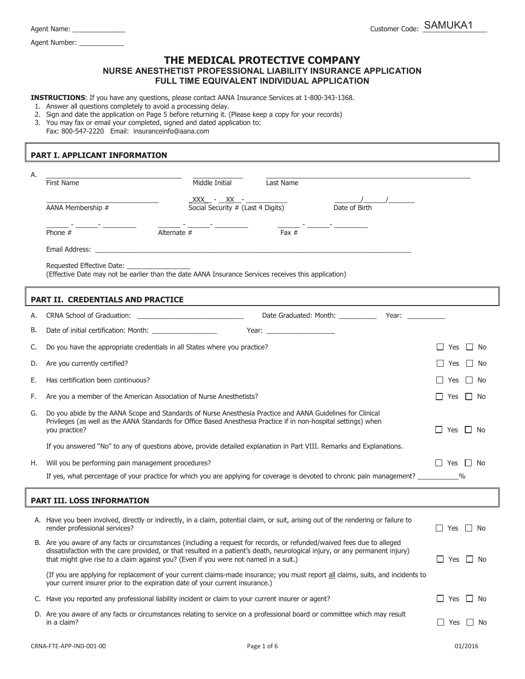Agent Number: \_\_\_\_\_

## **THE MEDICAL PROTECTIVE COMPANY NURSE ANESTHETIST PROFESSIONAL LIABILITY INSURANCE APPLICATION FULL TIME EQUIVALENT INDIVIDUAL APPLICATION**

**INSTRUCTIONS**: If you have any questions, please contact AANA Insurance Services at 1-800-343-1368.

- 1. Answer all questions completely to avoid a processing delay.
- 2. Sign and date the application on Page 5 before returning it. (Please keep a copy for your records)
- 3. You may fax or email your completed, signed and dated application to:
- Fax: 800-547-2220 Email: insuranceinfo@aana.com

## **PART I. APPLICANT INFORMATION**

| А. |                                                                                                                                                                                                                                                                                                                                                 |                                   |                                                                                                                                                                                                                                |                                  |                                                                                                                                                                                                                                |                      |           |
|----|-------------------------------------------------------------------------------------------------------------------------------------------------------------------------------------------------------------------------------------------------------------------------------------------------------------------------------------------------|-----------------------------------|--------------------------------------------------------------------------------------------------------------------------------------------------------------------------------------------------------------------------------|----------------------------------|--------------------------------------------------------------------------------------------------------------------------------------------------------------------------------------------------------------------------------|----------------------|-----------|
|    | Middle Initial<br><b>First Name</b>                                                                                                                                                                                                                                                                                                             |                                   | Last Name                                                                                                                                                                                                                      |                                  |                                                                                                                                                                                                                                |                      |           |
|    |                                                                                                                                                                                                                                                                                                                                                 | $XXX - XX -$                      |                                                                                                                                                                                                                                |                                  |                                                                                                                                                                                                                                |                      |           |
|    | AANA Membership #                                                                                                                                                                                                                                                                                                                               | Social Security # (Last 4 Digits) |                                                                                                                                                                                                                                | Date of Birth                    |                                                                                                                                                                                                                                |                      |           |
|    | Alternate $#$<br>Phone $#$                                                                                                                                                                                                                                                                                                                      |                                   | Fax $#$                                                                                                                                                                                                                        |                                  |                                                                                                                                                                                                                                |                      |           |
|    | Email Address: <u>The Communication</u> Communication of the Communication Communication of the Communication of the Communication of the Communication of the Communication of the Communication of the Communication of the Commu                                                                                                             |                                   |                                                                                                                                                                                                                                |                                  |                                                                                                                                                                                                                                |                      |           |
|    | Requested Effective Date:<br>(Effective Date may not be earlier than the date AANA Insurance Services receives this application)                                                                                                                                                                                                                |                                   |                                                                                                                                                                                                                                |                                  |                                                                                                                                                                                                                                |                      |           |
|    | PART II. CREDENTIALS AND PRACTICE                                                                                                                                                                                                                                                                                                               |                                   |                                                                                                                                                                                                                                |                                  |                                                                                                                                                                                                                                |                      |           |
| А. | CRNA School of Graduation: _________________________________                                                                                                                                                                                                                                                                                    |                                   |                                                                                                                                                                                                                                | Date Graduated: Month: _________ | Year: when the control of the control of the control of the control of the control of the control of the control of the control of the control of the control of the control of the control of the control of the control of t |                      |           |
| В. |                                                                                                                                                                                                                                                                                                                                                 |                                   | Year: The contract of the contract of the contract of the contract of the contract of the contract of the contract of the contract of the contract of the contract of the contract of the contract of the contract of the cont |                                  |                                                                                                                                                                                                                                |                      |           |
| C. | Do you have the appropriate credentials in all States where you practice?                                                                                                                                                                                                                                                                       |                                   |                                                                                                                                                                                                                                |                                  |                                                                                                                                                                                                                                | Yes                  | $\Box$ No |
| D. | Are you currently certified?                                                                                                                                                                                                                                                                                                                    |                                   |                                                                                                                                                                                                                                |                                  | Yes                                                                                                                                                                                                                            | No                   |           |
| Е. | Has certification been continuous?                                                                                                                                                                                                                                                                                                              |                                   |                                                                                                                                                                                                                                |                                  | Yes                                                                                                                                                                                                                            | No<br>$\perp$        |           |
| F. | Are you a member of the American Association of Nurse Anesthetists?                                                                                                                                                                                                                                                                             |                                   |                                                                                                                                                                                                                                |                                  | Yes                                                                                                                                                                                                                            | No                   |           |
| G. | Do you abide by the AANA Scope and Standards of Nurse Anesthesia Practice and AANA Guidelines for Clinical<br>Privileges (as well as the AANA Standards for Office Based Anesthesia Practice if in non-hospital settings) when<br>you practice?                                                                                                 |                                   |                                                                                                                                                                                                                                |                                  |                                                                                                                                                                                                                                | $\Box$ Yes           | No        |
|    | If you answered "No" to any of questions above, provide detailed explanation in Part VIII. Remarks and Explanations.                                                                                                                                                                                                                            |                                   |                                                                                                                                                                                                                                |                                  |                                                                                                                                                                                                                                |                      |           |
| н. | Will you be performing pain management procedures?                                                                                                                                                                                                                                                                                              |                                   |                                                                                                                                                                                                                                |                                  |                                                                                                                                                                                                                                | l Yes<br>$\perp$     | No        |
|    | If yes, what percentage of your practice for which you are applying for coverage is devoted to chronic pain management? __________%                                                                                                                                                                                                             |                                   |                                                                                                                                                                                                                                |                                  |                                                                                                                                                                                                                                |                      |           |
|    | <b>PART III. LOSS INFORMATION</b>                                                                                                                                                                                                                                                                                                               |                                   |                                                                                                                                                                                                                                |                                  |                                                                                                                                                                                                                                |                      |           |
|    | A. Have you been involved, directly or indirectly, in a claim, potential claim, or suit, arising out of the rendering or failure to<br>render professional services?                                                                                                                                                                            |                                   |                                                                                                                                                                                                                                |                                  |                                                                                                                                                                                                                                | Yes                  | . No      |
|    | B. Are you aware of any facts or circumstances (including a request for records, or refunded/waived fees due to alleged<br>dissatisfaction with the care provided, or that resulted in a patient's death, neurological injury, or any permanent injury)<br>that might give rise to a claim against you? (Even if you were not named in a suit.) |                                   |                                                                                                                                                                                                                                |                                  |                                                                                                                                                                                                                                | ∐ Yes  _  No         |           |
|    | (If you are applying for replacement of your current claims-made insurance; you must report all claims, suits, and incidents to<br>your current insurer prior to the expiration date of your current insurance.)                                                                                                                                |                                   |                                                                                                                                                                                                                                |                                  |                                                                                                                                                                                                                                |                      |           |
|    | C. Have you reported any professional liability incident or claim to your current insurer or agent?                                                                                                                                                                                                                                             |                                   |                                                                                                                                                                                                                                |                                  |                                                                                                                                                                                                                                | $\Box$<br>Yes □ No   |           |
|    | D. Are you aware of any facts or circumstances relating to service on a professional board or committee which may result<br>in a claim?                                                                                                                                                                                                         |                                   |                                                                                                                                                                                                                                |                                  |                                                                                                                                                                                                                                | $\Box$ Yes $\Box$ No |           |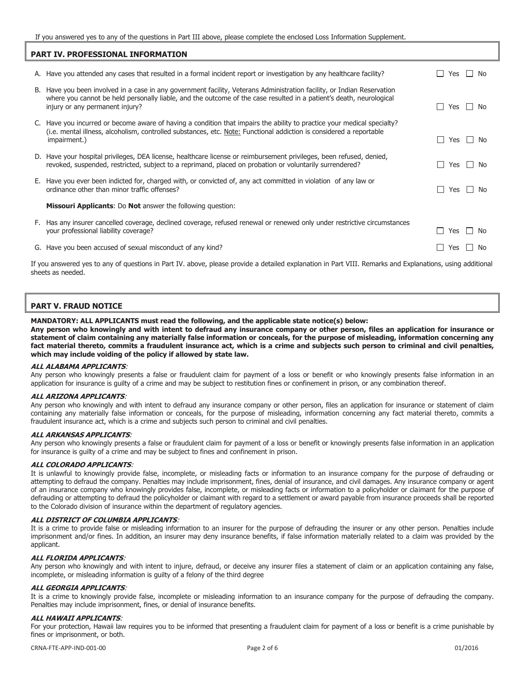If you answered yes to any of the questions in Part III above, please complete the enclosed Loss Information Supplement.

| <b>PART IV. PROFESSIONAL INFORMATION</b>                                                                                                                       |                                                                                                                                                                                                                                                                                   |                     |               |        |
|----------------------------------------------------------------------------------------------------------------------------------------------------------------|-----------------------------------------------------------------------------------------------------------------------------------------------------------------------------------------------------------------------------------------------------------------------------------|---------------------|---------------|--------|
|                                                                                                                                                                | A. Have you attended any cases that resulted in a formal incident report or investigation by any healthcare facility?                                                                                                                                                             | Yes                 |               | No     |
|                                                                                                                                                                | B. Have you been involved in a case in any government facility, Veterans Administration facility, or Indian Reservation<br>where you cannot be held personally liable, and the outcome of the case resulted in a patient's death, neurological<br>injury or any permanent injury? | Yes<br>ΙI           | l I No        |        |
|                                                                                                                                                                | C. Have you incurred or become aware of having a condition that impairs the ability to practice your medical specialty?<br>(i.e. mental illness, alcoholism, controlled substances, etc. Note: Functional addiction is considered a reportable<br>impairment.)                    | $\Box$<br>Yes       | $\perp$       | l No   |
|                                                                                                                                                                | D. Have your hospital privileges, DEA license, healthcare license or reimbursement privileges, been refused, denied,<br>revoked, suspended, restricted, subject to a reprimand, placed on probation or voluntarily surrendered?                                                   | Yes<br>ΙI           | $\mathbf{I}$  | No     |
|                                                                                                                                                                | E. Have you ever been indicted for, charged with, or convicted of, any act committed in violation of any law or<br>ordinance other than minor traffic offenses?                                                                                                                   | ΙI                  | Yes $\Box$ No |        |
|                                                                                                                                                                | <b>Missouri Applicants:</b> Do <b>Not</b> answer the following question:                                                                                                                                                                                                          |                     |               |        |
|                                                                                                                                                                | F. Has any insurer cancelled coverage, declined coverage, refused renewal or renewed only under restrictive circumstances<br>your professional liability coverage?                                                                                                                | Yes<br>$\mathsf{L}$ |               | l I No |
|                                                                                                                                                                | G. Have you been accused of sexual misconduct of any kind?                                                                                                                                                                                                                        | Yes                 |               | l I No |
| If you approved you be appeal on adjoining in Dayle IV, above, please provide a detailed ovelanation in Dayl VIII, Depending and Evalenctions, when additional |                                                                                                                                                                                                                                                                                   |                     |               |        |

If you answered yes to any of questions in Part IV. above, please provide a detailed explanation in Part VIII. Remarks and Explanations, using additional sheets as needed.

## **PART V. FRAUD NOTICE**

#### **MANDATORY: ALL APPLICANTS must read the following, and the applicable state notice(s) below:**

**Any person who knowingly and with intent to defraud any insurance company or other person, files an application for insurance or statement of claim containing any materially false information or conceals, for the purpose of misleading, information concerning any fact material thereto, commits a fraudulent insurance act, which is a crime and subjects such person to criminal and civil penalties, which may include voiding of the policy if allowed by state law.** 

#### **ALL ALABAMA APPLICANTS**:

Any person who knowingly presents a false or fraudulent claim for payment of a loss or benefit or who knowingly presents false information in an application for insurance is guilty of a crime and may be subject to restitution fines or confinement in prison, or any combination thereof.

#### **ALL ARIZONA APPLICANTS**:

Any person who knowingly and with intent to defraud any insurance company or other person, files an application for insurance or statement of claim containing any materially false information or conceals, for the purpose of misleading, information concerning any fact material thereto, commits a fraudulent insurance act, which is a crime and subjects such person to criminal and civil penalties.

#### **ALL ARKANSAS APPLICANTS**:

Any person who knowingly presents a false or fraudulent claim for payment of a loss or benefit or knowingly presents false information in an application for insurance is guilty of a crime and may be subject to fines and confinement in prison.

#### **ALL COLORADO APPLICANTS**:

It is unlawful to knowingly provide false, incomplete, or misleading facts or information to an insurance company for the purpose of defrauding or attempting to defraud the company. Penalties may include imprisonment, fines, denial of insurance, and civil damages. Any insurance company or agent of an insurance company who knowingly provides false, incomplete, or misleading facts or information to a policyholder or claimant for the purpose of defrauding or attempting to defraud the policyholder or claimant with regard to a settlement or award payable from insurance proceeds shall be reported to the Colorado division of insurance within the department of regulatory agencies.

#### **ALL DISTRICT OF COLUMBIA APPLICANTS**:

It is a crime to provide false or misleading information to an insurer for the purpose of defrauding the insurer or any other person. Penalties include imprisonment and/or fines. In addition, an insurer may deny insurance benefits, if false information materially related to a claim was provided by the applicant.

#### **ALL FLORIDA APPLICANTS**:

Any person who knowingly and with intent to injure, defraud, or deceive any insurer files a statement of claim or an application containing any false, incomplete, or misleading information is guilty of a felony of the third degree

#### **ALL GEORGIA APPLICANTS**:

It is a crime to knowingly provide false, incomplete or misleading information to an insurance company for the purpose of defrauding the company. Penalties may include imprisonment, fines, or denial of insurance benefits.

#### **ALL HAWAII APPLICANTS**:

For your protection, Hawaii law requires you to be informed that presenting a fraudulent claim for payment of a loss or benefit is a crime punishable by fines or imprisonment, or both.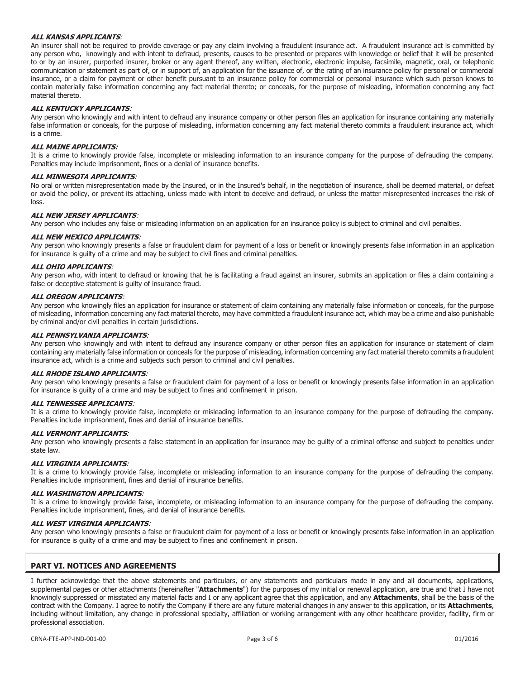#### **ALL KANSAS APPLICANTS**:

An insurer shall not be required to provide coverage or pay any claim involving a fraudulent insurance act. A fraudulent insurance act is committed by any person who, knowingly and with intent to defraud, presents, causes to be presented or prepares with knowledge or belief that it will be presented to or by an insurer, purported insurer, broker or any agent thereof, any written, electronic, electronic impulse, facsimile, magnetic, oral, or telephonic communication or statement as part of, or in support of, an application for the issuance of, or the rating of an insurance policy for personal or commercial insurance, or a claim for payment or other benefit pursuant to an insurance policy for commercial or personal insurance which such person knows to contain materially false information concerning any fact material thereto; or conceals, for the purpose of misleading, information concerning any fact material thereto.

### **ALL KENTUCKY APPLICANTS**:

Any person who knowingly and with intent to defraud any insurance company or other person files an application for insurance containing any materially false information or conceals, for the purpose of misleading, information concerning any fact material thereto commits a fraudulent insurance act, which is a crime.

#### **ALL MAINE APPLICANTS:**

It is a crime to knowingly provide false, incomplete or misleading information to an insurance company for the purpose of defrauding the company. Penalties may include imprisonment, fines or a denial of insurance benefits.

#### **ALL MINNESOTA APPLICANTS**:

No oral or written misrepresentation made by the Insured, or in the Insured's behalf, in the negotiation of insurance, shall be deemed material, or defeat or avoid the policy, or prevent its attaching, unless made with intent to deceive and defraud, or unless the matter misrepresented increases the risk of loss.

#### **ALL NEW JERSEY APPLICANTS**:

Any person who includes any false or misleading information on an application for an insurance policy is subject to criminal and civil penalties.

#### **ALL NEW MEXICO APPLICANTS**:

Any person who knowingly presents a false or fraudulent claim for payment of a loss or benefit or knowingly presents false information in an application for insurance is guilty of a crime and may be subject to civil fines and criminal penalties.

#### **ALL OHIO APPLICANTS**:

Any person who, with intent to defraud or knowing that he is facilitating a fraud against an insurer, submits an application or files a claim containing a false or deceptive statement is guilty of insurance fraud.

#### **ALL OREGON APPLICANTS**:

Any person who knowingly files an application for insurance or statement of claim containing any materially false information or conceals, for the purpose of misleading, information concerning any fact material thereto, may have committed a fraudulent insurance act, which may be a crime and also punishable by criminal and/or civil penalties in certain jurisdictions.

#### **ALL PENNSYLVANIA APPLICANTS**:

Any person who knowingly and with intent to defraud any insurance company or other person files an application for insurance or statement of claim containing any materially false information or conceals for the purpose of misleading, information concerning any fact material thereto commits a fraudulent insurance act, which is a crime and subjects such person to criminal and civil penalties.

### **ALL RHODE ISLAND APPLICANTS**:

Any person who knowingly presents a false or fraudulent claim for payment of a loss or benefit or knowingly presents false information in an application for insurance is guilty of a crime and may be subject to fines and confinement in prison.

#### **ALL TENNESSEE APPLICANTS**:

It is a crime to knowingly provide false, incomplete or misleading information to an insurance company for the purpose of defrauding the company. Penalties include imprisonment, fines and denial of insurance benefits.

# **ALL VERMONT APPLICANTS**:

Any person who knowingly presents a false statement in an application for insurance may be guilty of a criminal offense and subject to penalties under state law.

#### **ALL VIRGINIA APPLICANTS**:

It is a crime to knowingly provide false, incomplete or misleading information to an insurance company for the purpose of defrauding the company. Penalties include imprisonment, fines and denial of insurance benefits.

#### **ALL WASHINGTON APPLICANTS**:

It is a crime to knowingly provide false, incomplete, or misleading information to an insurance company for the purpose of defrauding the company. Penalties include imprisonment, fines, and denial of insurance benefits.

#### **ALL WEST VIRGINIA APPLICANTS**:

Any person who knowingly presents a false or fraudulent claim for payment of a loss or benefit or knowingly presents false information in an application for insurance is guilty of a crime and may be subject to fines and confinement in prison.

## **PART VI. NOTICES AND AGREEMENTS**

I further acknowledge that the above statements and particulars, or any statements and particulars made in any and all documents, applications, supplemental pages or other attachments (hereinafter "**Attachments**") for the purposes of my initial or renewal application, are true and that I have not knowingly suppressed or misstated any material facts and I or any applicant agree that this application, and any **Attachments**, shall be the basis of the contract with the Company. I agree to notify the Company if there are any future material changes in any answer to this application, or its **Attachments**, including without limitation, any change in professional specialty, affiliation or working arrangement with any other healthcare provider, facility, firm or professional association.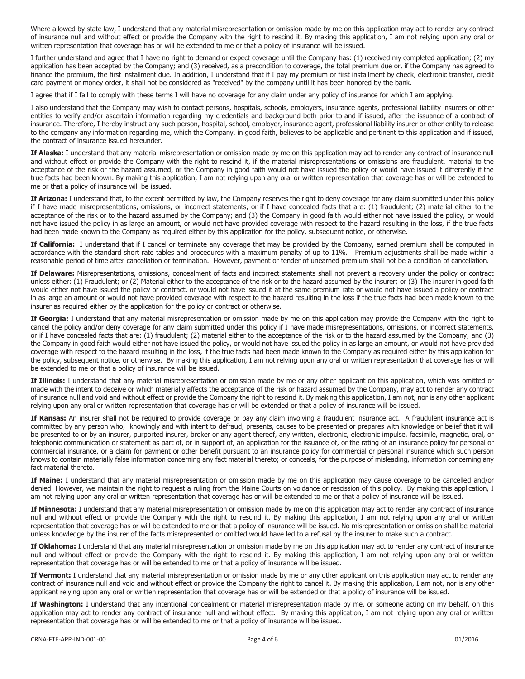Where allowed by state law, I understand that any material misrepresentation or omission made by me on this application may act to render any contract of insurance null and without effect or provide the Company with the right to rescind it. By making this application, I am not relying upon any oral or written representation that coverage has or will be extended to me or that a policy of insurance will be issued.

I further understand and agree that I have no right to demand or expect coverage until the Company has: (1) received my completed application; (2) my application has been accepted by the Company; and (3) received, as a precondition to coverage, the total premium due or, if the Company has agreed to finance the premium, the first installment due. In addition, I understand that if I pay my premium or first installment by check, electronic transfer, credit card payment or money order, it shall not be considered as "received" by the company until it has been honored by the bank.

I agree that if I fail to comply with these terms I will have no coverage for any claim under any policy of insurance for which I am applying.

I also understand that the Company may wish to contact persons, hospitals, schools, employers, insurance agents, professional liability insurers or other entities to verify and/or ascertain information regarding my credentials and background both prior to and if issued, after the issuance of a contract of insurance. Therefore, I hereby instruct any such person, hospital, school, employer, insurance agent, professional liability insurer or other entity to release to the company any information regarding me, which the Company, in good faith, believes to be applicable and pertinent to this application and if issued, the contract of insurance issued hereunder.

**If Alaska:** I understand that any material misrepresentation or omission made by me on this application may act to render any contract of insurance null and without effect or provide the Company with the right to rescind it, if the material misrepresentations or omissions are fraudulent, material to the acceptance of the risk or the hazard assumed, or the Company in good faith would not have issued the policy or would have issued it differently if the true facts had been known. By making this application, I am not relying upon any oral or written representation that coverage has or will be extended to me or that a policy of insurance will be issued.

**If Arizona:** I understand that, to the extent permitted by law, the Company reserves the right to deny coverage for any claim submitted under this policy if I have made misrepresentations, omissions, or incorrect statements, or if I have concealed facts that are: (1) fraudulent; (2) material either to the acceptance of the risk or to the hazard assumed by the Company; and (3) the Company in good faith would either not have issued the policy, or would not have issued the policy in as large an amount, or would not have provided coverage with respect to the hazard resulting in the loss, if the true facts had been made known to the Company as required either by this application for the policy, subsequent notice, or otherwise.

**If California:** I understand that if I cancel or terminate any coverage that may be provided by the Company, earned premium shall be computed in accordance with the standard short rate tables and procedures with a maximum penalty of up to 11%. Premium adjustments shall be made within a reasonable period of time after cancellation or termination. However, payment or tender of unearned premium shall not be a condition of cancellation.

**If Delaware:** Misrepresentations, omissions, concealment of facts and incorrect statements shall not prevent a recovery under the policy or contract unless either: (1) Fraudulent; or (2) Material either to the acceptance of the risk or to the hazard assumed by the insurer; or (3) The insurer in good faith would either not have issued the policy or contract, or would not have issued it at the same premium rate or would not have issued a policy or contract in as large an amount or would not have provided coverage with respect to the hazard resulting in the loss if the true facts had been made known to the insurer as required either by the application for the policy or contract or otherwise.

**If Georgia:** I understand that any material misrepresentation or omission made by me on this application may provide the Company with the right to cancel the policy and/or deny coverage for any claim submitted under this policy if I have made misrepresentations, omissions, or incorrect statements, or if I have concealed facts that are: (1) fraudulent; (2) material either to the acceptance of the risk or to the hazard assumed by the Company; and (3) the Company in good faith would either not have issued the policy, or would not have issued the policy in as large an amount, or would not have provided coverage with respect to the hazard resulting in the loss, if the true facts had been made known to the Company as required either by this application for the policy, subsequent notice, or otherwise. By making this application, I am not relying upon any oral or written representation that coverage has or will be extended to me or that a policy of insurance will be issued.

 **If Illinois:** I understand that any material misrepresentation or omission made by me or any other applicant on this application, which was omitted or made with the intent to deceive or which materially affects the acceptance of the risk or hazard assumed by the Company, may act to render any contract of insurance null and void and without effect or provide the Company the right to rescind it. By making this application, I am not, nor is any other applicant relying upon any oral or written representation that coverage has or will be extended or that a policy of insurance will be issued.

If Kansas: An insurer shall not be required to provide coverage or pay any claim involving a fraudulent insurance act. A fraudulent insurance act is committed by any person who, knowingly and with intent to defraud, presents, causes to be presented or prepares with knowledge or belief that it will be presented to or by an insurer, purported insurer, broker or any agent thereof, any written, electronic, electronic impulse, facsimile, magnetic, oral, or telephonic communication or statement as part of, or in support of, an application for the issuance of, or the rating of an insurance policy for personal or commercial insurance, or a claim for payment or other benefit pursuant to an insurance policy for commercial or personal insurance which such person knows to contain materially false information concerning any fact material thereto; or conceals, for the purpose of misleading, information concerning any fact material thereto.

**If Maine:** I understand that any material misrepresentation or omission made by me on this application may cause coverage to be cancelled and/or denied. However, we maintain the right to request a ruling from the Maine Courts on voidance or rescission of this policy. By making this application, I am not relying upon any oral or written representation that coverage has or will be extended to me or that a policy of insurance will be issued.

**If Minnesota:** I understand that any material misrepresentation or omission made by me on this application may act to render any contract of insurance null and without effect or provide the Company with the right to rescind it. By making this application, I am not relying upon any oral or written representation that coverage has or will be extended to me or that a policy of insurance will be issued. No misrepresentation or omission shall be material unless knowledge by the insurer of the facts misrepresented or omitted would have led to a refusal by the insurer to make such a contract.

**If Oklahoma:** I understand that any material misrepresentation or omission made by me on this application may act to render any contract of insurance null and without effect or provide the Company with the right to rescind it. By making this application, I am not relying upon any oral or written representation that coverage has or will be extended to me or that a policy of insurance will be issued.

**If Vermont:** I understand that any material misrepresentation or omission made by me or any other applicant on this application may act to render any contract of insurance null and void and without effect or provide the Company the right to cancel it. By making this application, I am not, nor is any other applicant relying upon any oral or written representation that coverage has or will be extended or that a policy of insurance will be issued.

**If Washington:** I understand that any intentional concealment or material misrepresentation made by me, or someone acting on my behalf, on this application may act to render any contract of insurance null and without effect. By making this application, I am not relying upon any oral or written representation that coverage has or will be extended to me or that a policy of insurance will be issued.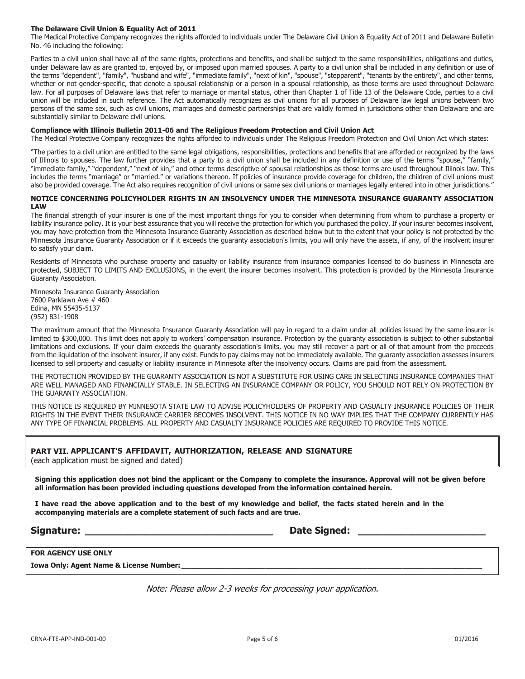#### **The Delaware Civil Union & Equality Act of 2011**

The Medical Protective Company recognizes the rights afforded to individuals under The Delaware Civil Union & Equality Act of 2011 and Delaware Bulletin No. 46 including the following:

Parties to a civil union shall have all of the same rights, protections and benefits, and shall be subject to the same responsibilities, obligations and duties, under Delaware law as are granted to, enjoyed by, or imposed upon married spouses. A party to a civil union shall be included in any definition or use of the terms "dependent", "family", "husband and wife", "immediate family", "next of kin", "spouse", "stepparent", "tenants by the entirety", and other terms, whether or not gender-specific, that denote a spousal relationship or a person in a spousal relationship, as those terms are used throughout Delaware law. For all purposes of Delaware laws that refer to marriage or marital status, other than Chapter 1 of Title 13 of the Delaware Code, parties to a civil union will be included in such reference. The Act automatically recognizes as civil unions for all purposes of Delaware law legal unions between two persons of the same sex, such as civil unions, marriages and domestic partnerships that are validly formed in jurisdictions other than Delaware and are substantially similar to Delaware civil unions.

#### **Compliance with Illinois Bulletin 2011-06 and The Religious Freedom Protection and Civil Union Act**

The Medical Protective Company recognizes the rights afforded to individuals under The Religious Freedom Protection and Civil Union Act which states:

ìThe parties to a civil union are entitled to the same legal obligations, responsibilities, protections and benefits that are afforded or recognized by the laws of Illinois to spouses. The law further provides that a party to a civil union shall be included in any definition or use of the terms "spouse," "family," "immediate family," "dependent," "next of kin," and other terms descriptive of spousal relationships as those terms are used throughout Illinois law. This includes the terms "marriage" or "married." or variations thereon. If policies of insurance provide coverage for children, the children of civil unions must also be provided coverage. The Act also requires recognition of civil unions or same sex civil unions or marriages legally entered into in other jurisdictions."

#### **NOTICE CONCERNING POLICYHOLDER RIGHTS IN AN INSOLVENCY UNDER THE MINNESOTA INSURANCE GUARANTY ASSOCIATION LAW**

The financial strength of your insurer is one of the most important things for you to consider when determining from whom to purchase a property or liability insurance policy. It is your best assurance that you will receive the protection for which you purchased the policy. If your insurer becomes insolvent, you may have protection from the Minnesota Insurance Guaranty Association as described below but to the extent that your policy is not protected by the Minnesota Insurance Guaranty Association or if it exceeds the guaranty association's limits, you will only have the assets, if any, of the insolvent insurer to satisfy your claim.

Residents of Minnesota who purchase property and casualty or liability insurance from insurance companies licensed to do business in Minnesota are protected, SUBJECT TO LIMITS AND EXCLUSIONS, in the event the insurer becomes insolvent. This protection is provided by the Minnesota Insurance Guaranty Association.

Minnesota Insurance Guaranty Association 7600 Parklawn Ave # 460 Edina, MN 55435-5137 (952) 831-1908

The maximum amount that the Minnesota Insurance Guaranty Association will pay in regard to a claim under all policies issued by the same insurer is limited to \$300,000. This limit does not apply to workers' compensation insurance. Protection by the guaranty association is subject to other substantial limitations and exclusions. If your claim exceeds the guaranty association's limits, you may still recover a part or all of that amount from the proceeds from the liquidation of the insolvent insurer, if any exist. Funds to pay claims may not be immediately available. The guaranty association assesses insurers licensed to sell property and casualty or liability insurance in Minnesota after the insolvency occurs. Claims are paid from the assessment.

THE PROTECTION PROVIDED BY THE GUARANTY ASSOCIATION IS NOT A SUBSTITUTE FOR USING CARE IN SELECTING INSURANCE COMPANIES THAT ARE WELL MANAGED AND FINANCIALLY STABLE. IN SELECTING AN INSURANCE COMPANY OR POLICY, YOU SHOULD NOT RELY ON PROTECTION BY THE GUARANTY ASSOCIATION.

 THIS NOTICE IS REQUIRED BY MINNESOTA STATE LAW TO ADVISE POLICYHOLDERS OF PROPERTY AND CASUALTY INSURANCE POLICIES OF THEIR RIGHTS IN THE EVENT THEIR INSURANCE CARRIER BECOMES INSOLVENT. THIS NOTICE IN NO WAY IMPLIES THAT THE COMPANY CURRENTLY HAS ANY TYPE OF FINANCIAL PROBLEMS. ALL PROPERTY AND CASUALTY INSURANCE POLICIES ARE REQUIRED TO PROVIDE THIS NOTICE.

## **PART VII. APPLICANTíS AFFIDAVIT, AUTHORIZATION, RELEASE AND SIGNATURE**

(each application must be signed and dated)

**Signing this application does not bind the applicant or the Company to complete the insurance. Approval will not be given before all information has been provided including questions developed from the information contained herein.**

**I have read the above application and to the best of my knowledge and belief, the facts stated herein and in the accompanying materials are a complete statement of such facts and are true.**

**Signature: \_\_\_\_\_\_\_\_\_\_\_\_\_\_\_\_\_\_\_\_\_\_\_\_\_\_\_\_\_\_\_ Date Signed: \_\_\_\_\_\_\_\_\_\_\_\_\_\_\_\_\_\_\_\_\_** 

**Iowa Only: Agent Name & License Number:** 

Note: Please allow 2-3 weeks for processing your application.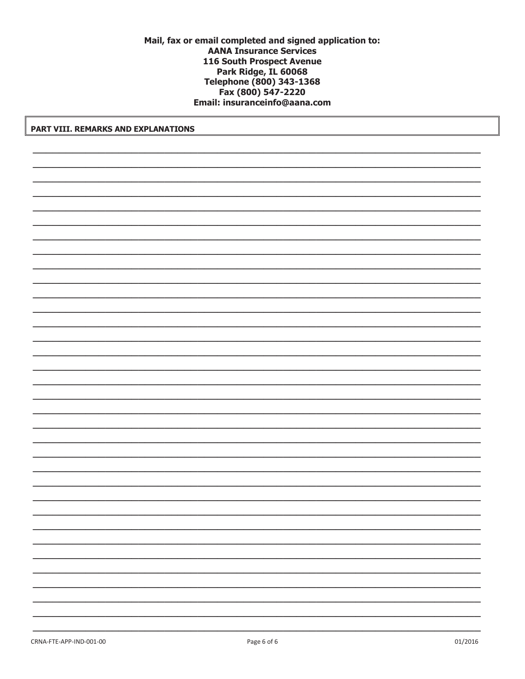## Mail, fax or email completed and signed application to: **AANA Insurance Services** 116 South Prospect Avenue Park Ridge, IL 60068 Telephone (800) 343-1368 Fax (800) 547-2220 Email: insuranceinfo@aana.com

PART VIII. REMARKS AND EXPLANATIONS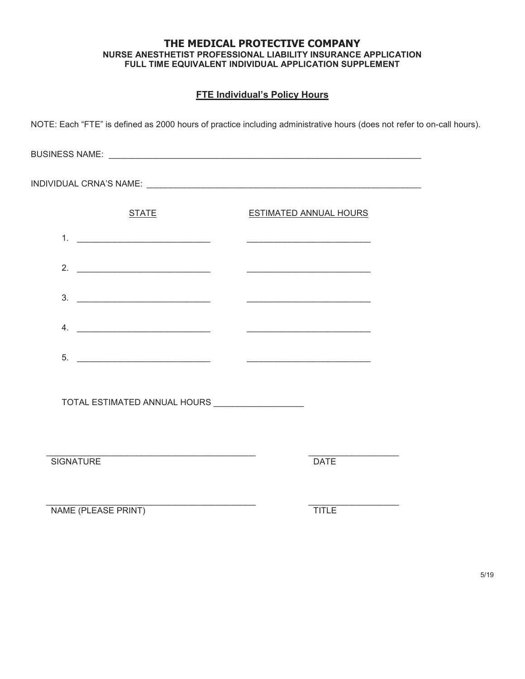## **THE MEDICAL PROTECTIVE COMPANY NURSE ANESTHETIST PROFESSIONAL LIABILITY INSURANCE APPLICATION FULL TIME EQUIVALENT INDIVIDUAL APPLICATION SUPPLEMENT**

# **FTE Individual's Policy Hours**

| NOTE: Each "FTE" is defined as 2000 hours of practice including administrative hours (does not refer to on-call hours). |                               |  |
|-------------------------------------------------------------------------------------------------------------------------|-------------------------------|--|
|                                                                                                                         |                               |  |
|                                                                                                                         |                               |  |
| <b>STATE</b>                                                                                                            | <b>ESTIMATED ANNUAL HOURS</b> |  |
|                                                                                                                         |                               |  |
| 2. $\qquad \qquad$                                                                                                      |                               |  |
|                                                                                                                         |                               |  |
|                                                                                                                         |                               |  |
| 5.                                                                                                                      |                               |  |
|                                                                                                                         |                               |  |
| TOTAL ESTIMATED ANNUAL HOURS _________________                                                                          |                               |  |
|                                                                                                                         |                               |  |
| <b>SIGNATURE</b>                                                                                                        | <b>DATE</b>                   |  |
|                                                                                                                         |                               |  |
| NAME (PLEASE PRINT)                                                                                                     | <b>TITLE</b>                  |  |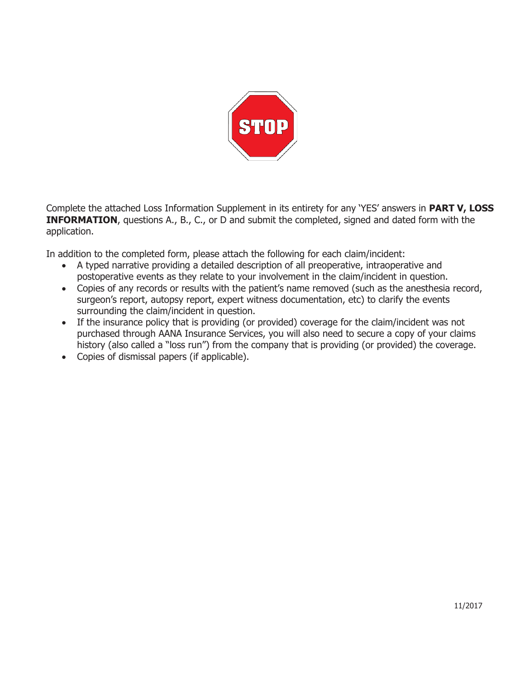

Complete the attached Loss Information Supplement in its entirety for any 'YES' answers in PART V, LOSS **INFORMATION**, questions A., B., C., or D and submit the completed, signed and dated form with the application.

In addition to the completed form, please attach the following for each claim/incident:

- · A typed narrative providing a detailed description of all preoperative, intraoperative and postoperative events as they relate to your involvement in the claim/incident in question.
- Copies of any records or results with the patient's name removed (such as the anesthesia record, surgeon's report, autopsy report, expert witness documentation, etc) to clarify the events surrounding the claim/incident in question.
- If the insurance policy that is providing (or provided) coverage for the claim/incident was not purchased through AANA Insurance Services, you will also need to secure a copy of your claims history (also called a "loss run") from the company that is providing (or provided) the coverage.
- · Copies of dismissal papers (if applicable).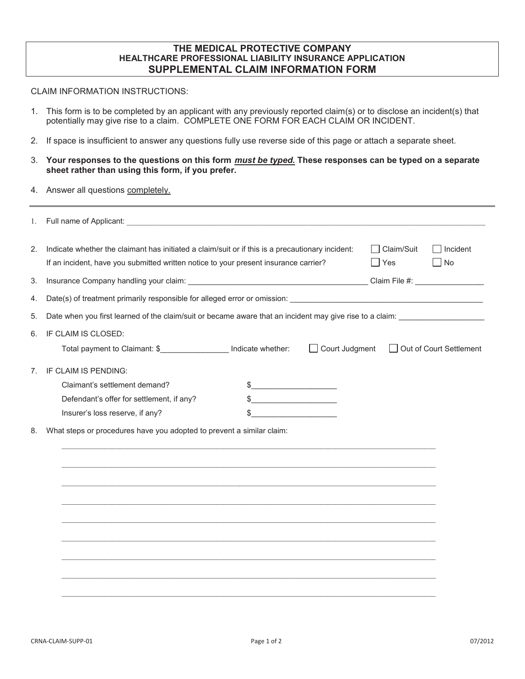## **THE MEDICAL PROTECTIVE COMPANY HEALTHCARE PROFESSIONAL LIABILITY INSURANCE APPLICATION SUPPLEMENTAL CLAIM INFORMATION FORM**

## CLAIM INFORMATION INSTRUCTIONS:

- 1. This form is to be completed by an applicant with any previously reported claim(s) or to disclose an incident(s) that potentially may give rise to a claim. COMPLETE ONE FORM FOR EACH CLAIM OR INCIDENT.
- 2. If space is insufficient to answer any questions fully use reverse side of this page or attach a separate sheet.
- 3. Your responses to the questions on this form *must be typed.* These responses can be typed on a separate **sheet rather than using this form, if you prefer.**
- 4. Answer all questions completely.

| 1.             |                                                                                                                                                                                                                                                             |  |  |  |  |
|----------------|-------------------------------------------------------------------------------------------------------------------------------------------------------------------------------------------------------------------------------------------------------------|--|--|--|--|
| 2.             | $\Box$ Claim/Suit<br>$\Box$ Incident<br>Indicate whether the claimant has initiated a claim/suit or if this is a precautionary incident:<br>If an incident, have you submitted written notice to your present insurance carrier?<br>$\Box$ Yes<br>$\Box$ No |  |  |  |  |
| 3.             | Insurance Company handling your claim: Claim File #: Claim File #: Claim File #:                                                                                                                                                                            |  |  |  |  |
| 4.             |                                                                                                                                                                                                                                                             |  |  |  |  |
| 5.             | Date when you first learned of the claim/suit or became aware that an incident may give rise to a claim: ______________________________                                                                                                                     |  |  |  |  |
| 6.             | IF CLAIM IS CLOSED:                                                                                                                                                                                                                                         |  |  |  |  |
|                | Total payment to Claimant: \$__________________ Indicate whether:<br>$\Box$ Court Judgment<br>Out of Court Settlement                                                                                                                                       |  |  |  |  |
| 7 <sup>1</sup> | IF CLAIM IS PENDING:                                                                                                                                                                                                                                        |  |  |  |  |
|                | Claimant's settlement demand?<br>\$<br><u> 1990 - Johann Barn, mars ann an t-Aonaich an t-Aonaich an t-Aonaich an t-Aonaich an t-Aonaich an t-Aonaich an </u>                                                                                               |  |  |  |  |
|                | Defendant's offer for settlement, if any?<br>\$                                                                                                                                                                                                             |  |  |  |  |
|                | Insurer's loss reserve, if any?                                                                                                                                                                                                                             |  |  |  |  |
| 8.             | What steps or procedures have you adopted to prevent a similar claim:                                                                                                                                                                                       |  |  |  |  |
|                |                                                                                                                                                                                                                                                             |  |  |  |  |
|                |                                                                                                                                                                                                                                                             |  |  |  |  |
|                |                                                                                                                                                                                                                                                             |  |  |  |  |
|                |                                                                                                                                                                                                                                                             |  |  |  |  |
|                |                                                                                                                                                                                                                                                             |  |  |  |  |
|                |                                                                                                                                                                                                                                                             |  |  |  |  |
|                |                                                                                                                                                                                                                                                             |  |  |  |  |
|                |                                                                                                                                                                                                                                                             |  |  |  |  |
|                |                                                                                                                                                                                                                                                             |  |  |  |  |
|                |                                                                                                                                                                                                                                                             |  |  |  |  |